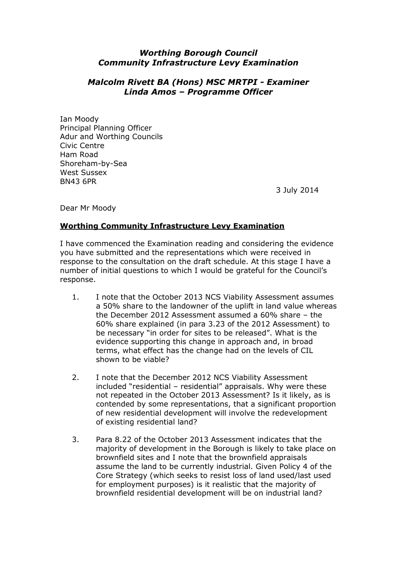## *Worthing Borough Council Community Infrastructure Levy Examination*

## *Malcolm Rivett BA (Hons) MSC MRTPI - Examiner Linda Amos – Programme Officer*

Ian Moody Principal Planning Officer Adur and Worthing Councils Civic Centre Ham Road Shoreham-by-Sea West Sussex BN43 6PR

3 July 2014

Dear Mr Moody

## **Worthing Community Infrastructure Levy Examination**

I have commenced the Examination reading and considering the evidence you have submitted and the representations which were received in response to the consultation on the draft schedule. At this stage I have a number of initial questions to which I would be grateful for the Council's response.

- 1. I note that the October 2013 NCS Viability Assessment assumes a 50% share to the landowner of the uplift in land value whereas the December 2012 Assessment assumed a 60% share – the 60% share explained (in para 3.23 of the 2012 Assessment) to be necessary "in order for sites to be released". What is the evidence supporting this change in approach and, in broad terms, what effect has the change had on the levels of CIL shown to be viable?
- 2. I note that the December 2012 NCS Viability Assessment included "residential – residential" appraisals. Why were these not repeated in the October 2013 Assessment? Is it likely, as is contended by some representations, that a significant proportion of new residential development will involve the redevelopment of existing residential land?
- 3. Para 8.22 of the October 2013 Assessment indicates that the majority of development in the Borough is likely to take place on brownfield sites and I note that the brownfield appraisals assume the land to be currently industrial. Given Policy 4 of the Core Strategy (which seeks to resist loss of land used/last used for employment purposes) is it realistic that the majority of brownfield residential development will be on industrial land?